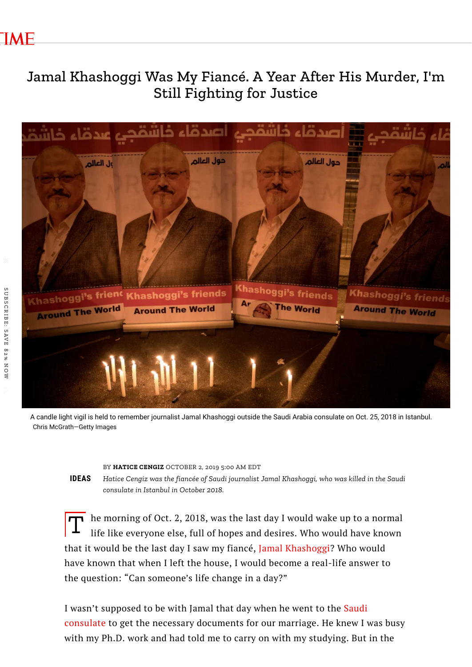# Jamal Khashoggi Was My Fiancé. A Year After His Murder, I'm Still Fighting for Justice



A candle light vigil is held to remember journalist Jamal Khashoggi outside the Saudi Arabia consulate on Oct. 25, 2018 in Istanbul. Chris McGrath—Getty Images

BY **[HATICE](https://time.com/author/hatice-cengiz/) CENGIZ** OCTOBER 2, 2019 5:00 AM EDT

**IDEAS** *Hatice Cengiz was the fiancée of Saudi journalist Jamal Khashoggi, who was killed in the Saudi consulate in Istanbul in October 2018.*

The morning of Oct. 2, 2018, was the last day I would wake up to a normal<br>life like everyone else, full of hopes and desires. Who would have known life like everyone else, full of hopes and desires. Who would have known that it would be the last day I saw my fiancé, Jamal [Khashoggi?](https://time.com/person-of-the-year-2018-the-guardians/) Who would have known that when I left the house, I would become a real-life answer to the question: "Can someone's life change in a day?"

I wasn't supposed to be with Jamal that day when he went to the Saudi consulate to get the necessary [documents](https://time.com/5686799/prince-mohammed-bin-salman-khashoggi-murder-pbs/) for our marriage. He knew I was busy with my Ph.D. work and had told me to carry on with my studying. But in the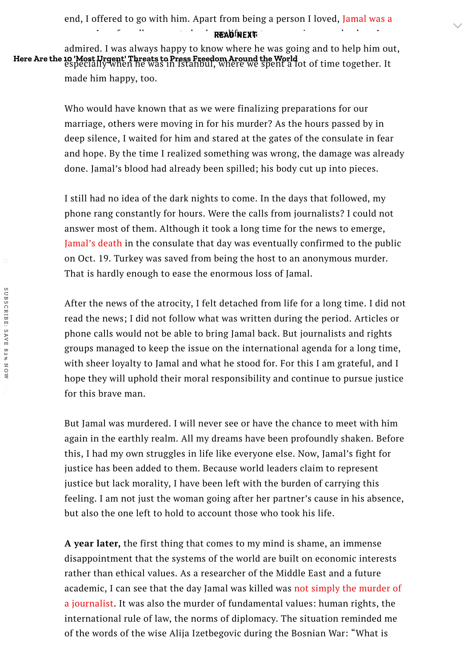end, I offered to go with him. Apart from being a person I loved, Jamal was a

**person I [profoundly](https://time.com/5416396/jamal-khashoggi-saudi-arabia-journalist-missing/) respected, whose life, status, experience and values in the values I profoundly respected, whose life, status, experience and values in the values of**  $\sim$ 

admired. I was always happy to know where he was going and to help him out, Here Are the 10 'Most Urgent' Threats to Press [Freedom](https://time.com/5792232/threats-press-freedom-march/) Around the World<br>especially when he was in Istanbul, where we spent a lot of time together. It made him happy, too.

> Who would have known that as we were finalizing preparations for our marriage, others were moving in for his murder? As the hours passed by in deep silence, I waited for him and stared at the gates of the consulate in fear and hope. By the time I realized something was wrong, the damage was already done. Jamal's blood had already been spilled; his body cut up into pieces.

> I still had no idea of the dark nights to come. In the days that followed, my phone rang constantly for hours. Were the calls from journalists? I could not answer most of them. Although it took a long time for the news to emerge, [Jamal's](https://time.com/5475109/jamal-khashoggi-saudi-arabia-audio-last-words/) death in the consulate that day was eventually confirmed to the public on Oct. 19. Turkey was saved from being the host to an anonymous murder. That is hardly enough to ease the enormous loss of Jamal.

After the news of the atrocity, I felt detached from life for a long time. I did not read the news; I did not follow what was written during the period. Articles or phone calls would not be able to bring Jamal back. But journalists and rights groups managed to keep the issue on the international agenda for a long time, with sheer loyalty to Jamal and what he stood for. For this I am grateful, and I hope they will uphold their moral responsibility and continue to pursue justice for this brave man.

But Jamal was murdered. I will never see or have the chance to meet with him again in the earthly realm. All my dreams have been profoundly shaken. Before this, I had my own struggles in life like everyone else. Now, Jamal's fight for justice has been added to them. Because world leaders claim to represent justice but lack morality, I have been left with the burden of carrying this feeling. I am not just the woman going after her partner's cause in his absence, but also the one left to hold to account those who took his life.

**A year later,** the first thing that comes to my mind is shame, an immense disappointment that the systems of the world are built on economic interests rather than ethical values. As a researcher of the Middle East and a future academic, I can see that the day Jamal was killed was not simply the murder of a journalist. It was also the murder of [fundamental](https://time.com/5428159/jamal-khashoggi-murder/) values: human rights, the international rule of law, the norms of diplomacy. The situation reminded me of the words of the wise Alija Izetbegovic during the Bosnian War: "What is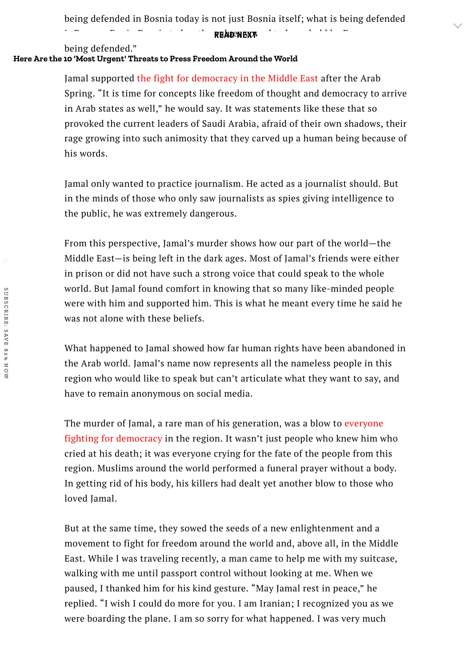being defended in Bosnia today is not just Bosnia itself; what is being defended

is Europe. For in Bosnia today, the values vowed to be upheld by Europe are **READ NEXT**

### being defended."

## **Here Are the 10 'Most Urgent' Threats to Press [Freedom](https://time.com/5792232/threats-press-freedom-march/) Around the World**

Jamal supported the fight for [democracy](https://time.com/5565084/egypt-alaa-aswany-sisi-press/) in the Middle East after the Arab Spring. "It is time for concepts like freedom of thought and democracy to arrive in Arab states as well," he would say. It was statements like these that so provoked the current leaders of Saudi Arabia, afraid of their own shadows, their rage growing into such animosity that they carved up a human being because of his words.

Jamal only wanted to practice journalism. He acted as a journalist should. But in the minds of those who only saw journalists as spies giving intelligence to the public, he was extremely dangerous.

From this perspective, Jamal's murder shows how our part of the world—the Middle East—is being left in the dark ages. Most of Jamal's friends were either in prison or did not have such a strong voice that could speak to the whole world. But Jamal found comfort in knowing that so many like-minded people were with him and supported him. This is what he meant every time he said he was not alone with these beliefs.

What happened to Jamal showed how far human rights have been abandoned in the Arab world. Jamal's name now represents all the nameless people in this region who would like to speak but can't articulate what they want to say, and have to remain anonymous on social media.

The murder of Jamal, a rare man of his [generation,](https://time.com/5665392/10-most-urgent-press-freedom-september/) was a blow to everyone fighting for democracy in the region. It wasn't just people who knew him who cried at his death; it was everyone crying for the fate of the people from this region. Muslims around the world performed a funeral prayer without a body. In getting rid of his body, his killers had dealt yet another blow to those who loved Jamal.

But at the same time, they sowed the seeds of a new enlightenment and a movement to fight for freedom around the world and, above all, in the Middle East. While I was traveling recently, a man came to help me with my suitcase, walking with me until passport control without looking at me. When we paused, I thanked him for his kind gesture. "May Jamal rest in peace," he replied. "I wish I could do more for you. I am Iranian; I recognized you as we were boarding the plane. I am so sorry for what happened. I was very much